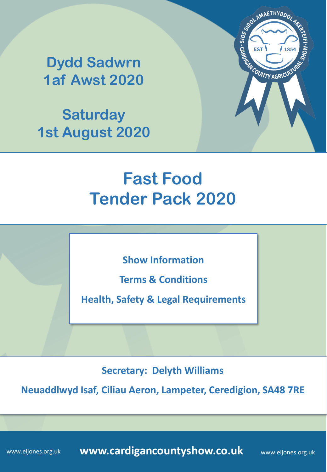**Saturday 1st August 2020**



# **Fast Food Tender Pack 2020**

**Show Information**

**Terms & Conditions**

**Health, Safety & Legal Requirements**

**Secretary: Delyth Williams**

**Neuaddlwyd Isaf, Ciliau Aeron, Lampeter, Ceredigion, SA48 7RE**

**www.cardigancountyshow.co.uk** www.eljones.org.uk

www.eljones.org.uk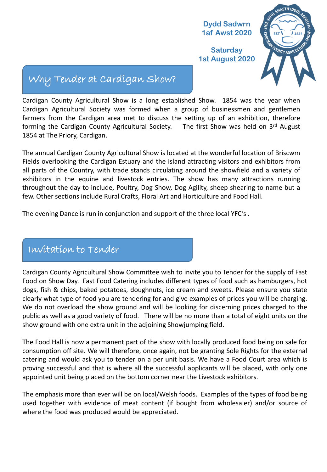**Saturday 1st August 2020**



# Why Tender at Cardigan Show?

Cardigan County Agricultural Show is a long established Show. 1854 was the year when Cardigan Agricultural Society was formed when a group of businessmen and gentlemen farmers from the Cardigan area met to discuss the setting up of an exhibition, therefore forming the Cardigan County Agricultural Society. The first Show was held on 3<sup>rd</sup> August 1854 at The Priory, Cardigan.

The annual Cardigan County Agricultural Show is located at the wonderful location of Briscwm Fields overlooking the Cardigan Estuary and the island attracting visitors and exhibitors from all parts of the Country, with trade stands circulating around the showfield and a variety of exhibitors in the equine and livestock entries. The show has many attractions running throughout the day to include, Poultry, Dog Show, Dog Agility, sheep shearing to name but a few. Other sections include Rural Crafts, Floral Art and Horticulture and Food Hall.

The evening Dance is run in conjunction and support of the three local YFC's .

# Invitation to Tender

Cardigan County Agricultural Show Committee wish to invite you to Tender for the supply of Fast Food on Show Day. Fast Food Catering includes different types of food such as hamburgers, hot dogs, fish & chips, baked potatoes, doughnuts, ice cream and sweets. Please ensure you state clearly what type of food you are tendering for and give examples of prices you will be charging. We do not overload the show ground and will be looking for discerning prices charged to the public as well as a good variety of food. There will be no more than a total of eight units on the show ground with one extra unit in the adjoining Showjumping field.

The Food Hall is now a permanent part of the show with locally produced food being on sale for consumption off site. We will therefore, once again, not be granting Sole Rights for the external catering and would ask you to tender on a per unit basis. We have a Food Court area which is proving successful and that is where all the successful applicants will be placed, with only one appointed unit being placed on the bottom corner near the Livestock exhibitors.

The emphasis more than ever will be on local/Welsh foods. Examples of the types of food being used together with evidence of meat content (if bought from wholesaler) and/or source of where the food was produced would be appreciated.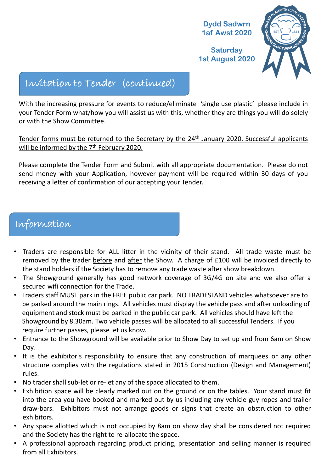

# Invitation to Tender (continued)

With the increasing pressure for events to reduce/eliminate 'single use plastic' please include in your Tender Form what/how you will assist us with this, whether they are things you will do solely or with the Show Committee.

Tender forms must be returned to the Secretary by the 24<sup>th</sup> January 2020. Successful applicants will be informed by the 7<sup>th</sup> February 2020.

Please complete the Tender Form and Submit with all appropriate documentation. Please do not send money with your Application, however payment will be required within 30 days of you receiving a letter of confirmation of our accepting your Tender.

# Information

- Traders are responsible for ALL litter in the vicinity of their stand. All trade waste must be removed by the trader before and after the Show. A charge of £100 will be invoiced directly to the stand holders if the Society has to remove any trade waste after show breakdown.
- The Showground generally has good network coverage of 3G/4G on site and we also offer a secured wifi connection for the Trade.
- Traders staff MUST park in the FREE public car park. NO TRADESTAND vehicles whatsoever are to be parked around the main rings. All vehicles must display the vehicle pass and after unloading of equipment and stock must be parked in the public car park. All vehicles should have left the Showground by 8.30am. Two vehicle passes will be allocated to all successful Tenders. If you require further passes, please let us know.
- Entrance to the Showground will be available prior to Show Day to set up and from 6am on Show Day.
- It is the exhibitor's responsibility to ensure that any construction of marquees or any other structure complies with the regulations stated in 2015 Construction (Design and Management) rules.
- No trader shall sub-let or re-let any of the space allocated to them.
- Exhibition space will be clearly marked out on the ground or on the tables. Your stand must fit into the area you have booked and marked out by us including any vehicle guy-ropes and trailer draw-bars. Exhibitors must not arrange goods or signs that create an obstruction to other exhibitors.
- Any space allotted which is not occupied by 8am on show day shall be considered not required and the Society has the right to re-allocate the space.
- A professional approach regarding product pricing, presentation and selling manner is required from all Exhibitors.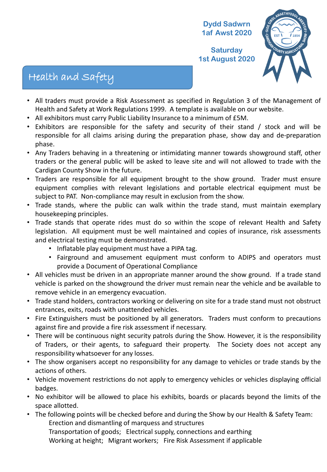**Saturday 1st August 2020**



# Health and Safety

- All traders must provide a Risk Assessment as specified in Regulation 3 of the Management of Health and Safety at Work Regulations 1999. A template is available on our website.
- All exhibitors must carry Public Liability Insurance to a minimum of £5M.
- Exhibitors are responsible for the safety and security of their stand / stock and will be responsible for all claims arising during the preparation phase, show day and de-preparation phase.
- Any Traders behaving in a threatening or intimidating manner towards showground staff, other traders or the general public will be asked to leave site and will not allowed to trade with the Cardigan County Show in the future.
- Traders are responsible for all equipment brought to the show ground. Trader must ensure equipment complies with relevant legislations and portable electrical equipment must be subject to PAT. Non-compliance may result in exclusion from the show.
- Trade stands, where the public can walk within the trade stand, must maintain exemplary housekeeping principles.
- Trade stands that operate rides must do so within the scope of relevant Health and Safety legislation. All equipment must be well maintained and copies of insurance, risk assessments and electrical testing must be demonstrated.
	- Inflatable play equipment must have a PIPA tag.
	- Fairground and amusement equipment must conform to ADIPS and operators must provide a Document of Operational Compliance
- All vehicles must be driven in an appropriate manner around the show ground. If a trade stand vehicle is parked on the showground the driver must remain near the vehicle and be available to remove vehicle in an emergency evacuation.
- Trade stand holders, contractors working or delivering on site for a trade stand must not obstruct entrances, exits, roads with unattended vehicles.
- Fire Extinguishers must be positioned by all generators. Traders must conform to precautions against fire and provide a fire risk assessment if necessary.
- There will be continuous night security patrols during the Show. However, it is the responsibility of Traders, or their agents, to safeguard their property. The Society does not accept any responsibility whatsoever for any losses.
- The show organisers accept no responsibility for any damage to vehicles or trade stands by the actions of others.
- Vehicle movement restrictions do not apply to emergency vehicles or vehicles displaying official badges.
- No exhibitor will be allowed to place his exhibits, boards or placards beyond the limits of the space allotted.
- The following points will be checked before and during the Show by our Health & Safety Team: Erection and dismantling of marquess and structures Transportation of goods; Electrical supply, connections and earthing

Working at height; Migrant workers; Fire Risk Assessment if applicable